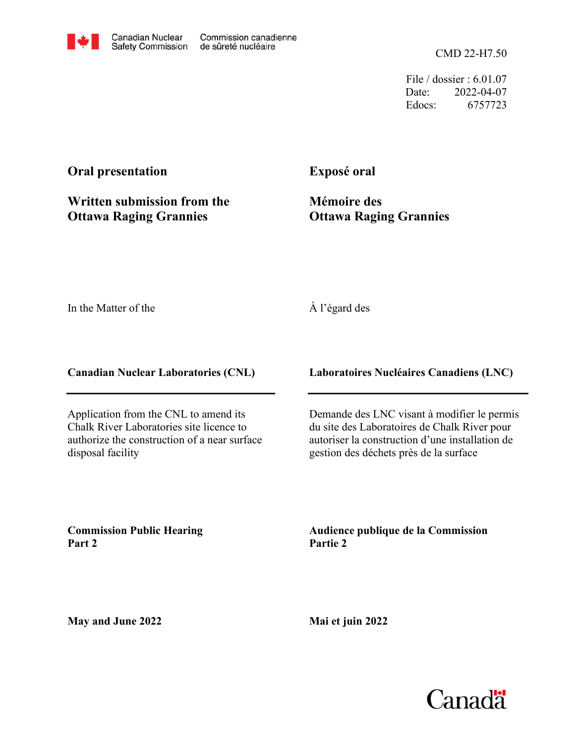CMD 22-H7.50

File / dossier : 6.01.07 Date: 2022-04-07 Edocs: 6757723

## **Oral presentation**

**Written submission from the Ottawa Raging Grannies**

**Exposé oral**

**Mémoire des Ottawa Raging Grannies**

In the Matter of the

## À l'égard des

**Canadian Nuclear Laboratories (CNL)**

Application from the CNL to amend its Chalk River Laboratories site licence to authorize the construction of a near surface disposal facility

**Laboratoires Nucléaires Canadiens (LNC)**

Demande des LNC visant à modifier le permis du site des Laboratoires de Chalk River pour autoriser la construction d'une installation de gestion des déchets près de la surface

**Commission Public Hearing Part 2**

**Audience publique de la Commission Partie 2**

**May and June 2022**

**Mai et juin 2022**